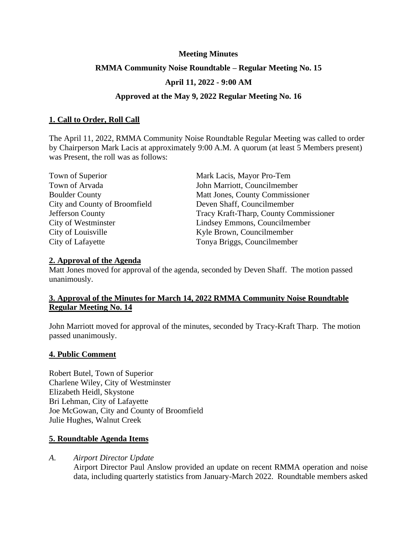## **Meeting Minutes**

## **RMMA Community Noise Roundtable – Regular Meeting No. 15**

# **April 11, 2022 - 9:00 AM**

## **Approved at the May 9, 2022 Regular Meeting No. 16**

## **1. Call to Order, Roll Call**

The April 11, 2022, RMMA Community Noise Roundtable Regular Meeting was called to order by Chairperson Mark Lacis at approximately 9:00 A.M. A quorum (at least 5 Members present) was Present, the roll was as follows:

| Town of Superior              | Mark Lacis, Mayor Pro-Tem              |
|-------------------------------|----------------------------------------|
| Town of Arvada                | John Marriott, Councilmember           |
| <b>Boulder County</b>         | Matt Jones, County Commissioner        |
| City and County of Broomfield | Deven Shaff, Councilmember             |
| Jefferson County              | Tracy Kraft-Tharp, County Commissioner |
| City of Westminster           | Lindsey Emmons, Councilmember          |
| City of Louisville            | Kyle Brown, Councilmember              |
| City of Lafayette             | Tonya Briggs, Councilmember            |

### **2. Approval of the Agenda**

Matt Jones moved for approval of the agenda, seconded by Deven Shaff. The motion passed unanimously.

# **3. Approval of the Minutes for March 14, 2022 RMMA Community Noise Roundtable Regular Meeting No. 14**

John Marriott moved for approval of the minutes, seconded by Tracy-Kraft Tharp. The motion passed unanimously.

### **4. Public Comment**

Robert Butel, Town of Superior Charlene Wiley, City of Westminster Elizabeth Heidl, Skystone Bri Lehman, City of Lafayette Joe McGowan, City and County of Broomfield Julie Hughes, Walnut Creek

### **5. Roundtable Agenda Items**

*A. Airport Director Update*

Airport Director Paul Anslow provided an update on recent RMMA operation and noise data, including quarterly statistics from January-March 2022. Roundtable members asked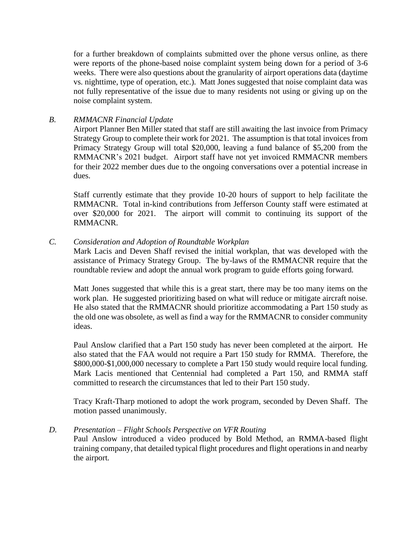for a further breakdown of complaints submitted over the phone versus online, as there were reports of the phone-based noise complaint system being down for a period of 3-6 weeks. There were also questions about the granularity of airport operations data (daytime vs. nighttime, type of operation, etc.). Matt Jones suggested that noise complaint data was not fully representative of the issue due to many residents not using or giving up on the noise complaint system.

# *B. RMMACNR Financial Update*

Airport Planner Ben Miller stated that staff are still awaiting the last invoice from Primacy Strategy Group to complete their work for 2021. The assumption is that total invoices from Primacy Strategy Group will total \$20,000, leaving a fund balance of \$5,200 from the RMMACNR's 2021 budget. Airport staff have not yet invoiced RMMACNR members for their 2022 member dues due to the ongoing conversations over a potential increase in dues.

Staff currently estimate that they provide 10-20 hours of support to help facilitate the RMMACNR. Total in-kind contributions from Jefferson County staff were estimated at over \$20,000 for 2021. The airport will commit to continuing its support of the RMMACNR.

## *C. Consideration and Adoption of Roundtable Workplan*

Mark Lacis and Deven Shaff revised the initial workplan, that was developed with the assistance of Primacy Strategy Group. The by-laws of the RMMACNR require that the roundtable review and adopt the annual work program to guide efforts going forward.

Matt Jones suggested that while this is a great start, there may be too many items on the work plan. He suggested prioritizing based on what will reduce or mitigate aircraft noise. He also stated that the RMMACNR should prioritize accommodating a Part 150 study as the old one was obsolete, as well as find a way for the RMMACNR to consider community ideas.

Paul Anslow clarified that a Part 150 study has never been completed at the airport. He also stated that the FAA would not require a Part 150 study for RMMA. Therefore, the \$800,000-\$1,000,000 necessary to complete a Part 150 study would require local funding. Mark Lacis mentioned that Centennial had completed a Part 150, and RMMA staff committed to research the circumstances that led to their Part 150 study.

Tracy Kraft-Tharp motioned to adopt the work program, seconded by Deven Shaff. The motion passed unanimously.

### *D. Presentation – Flight Schools Perspective on VFR Routing*

Paul Anslow introduced a video produced by Bold Method, an RMMA-based flight training company, that detailed typical flight procedures and flight operations in and nearby the airport.